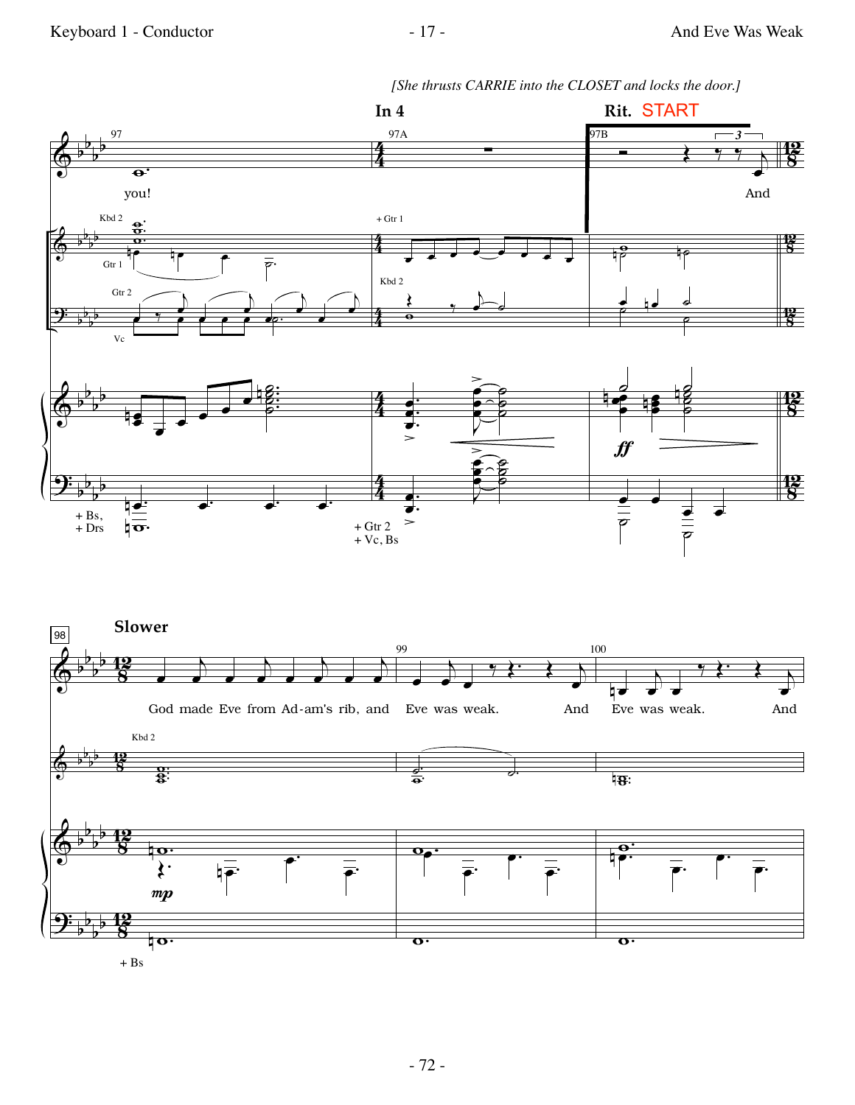*[She thrusts CARRIE into the CLOSET and locks the door.]*

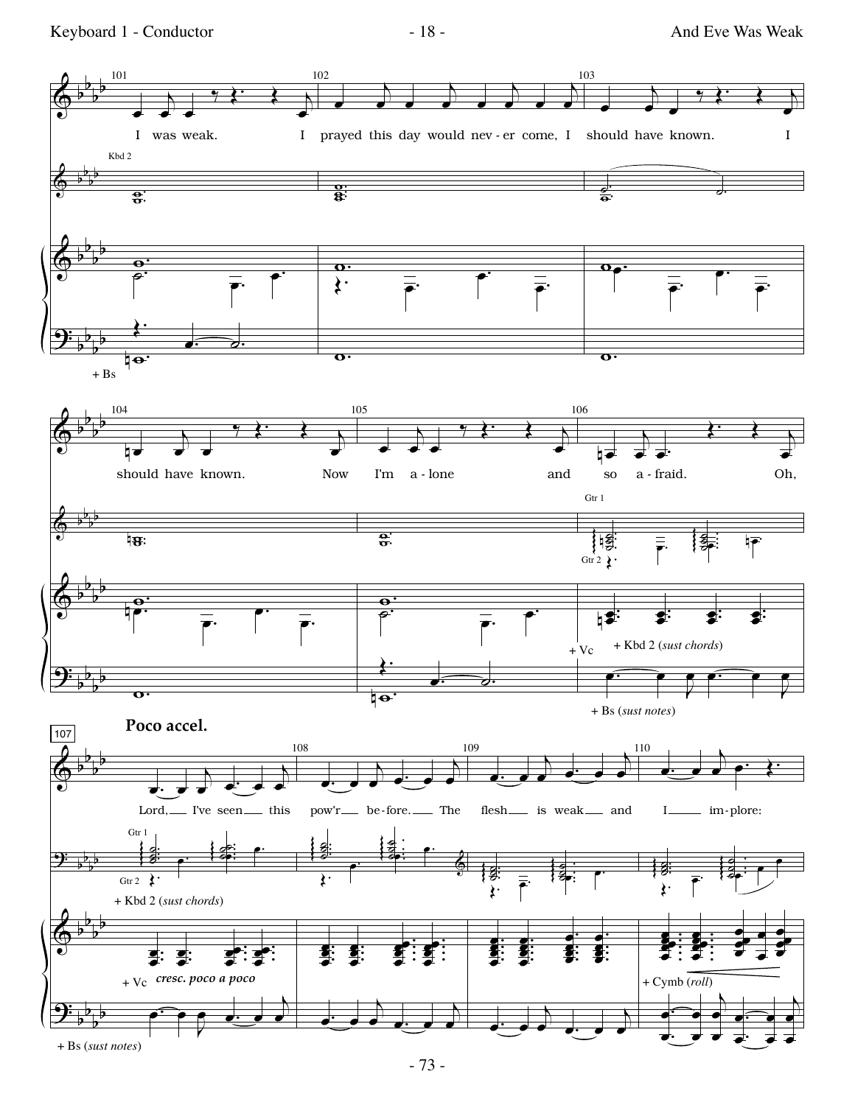Keyboard 1 - Conductor - 18 - And Eve Was Weak

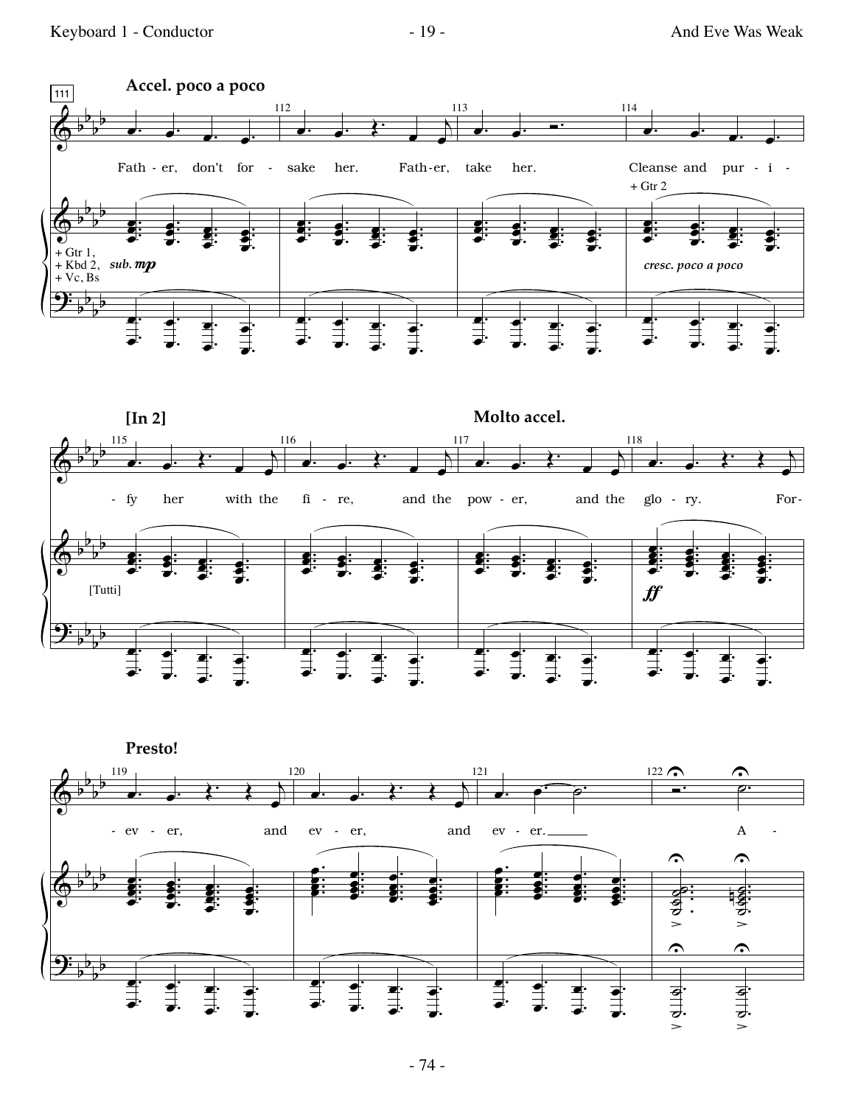





 $-74-$